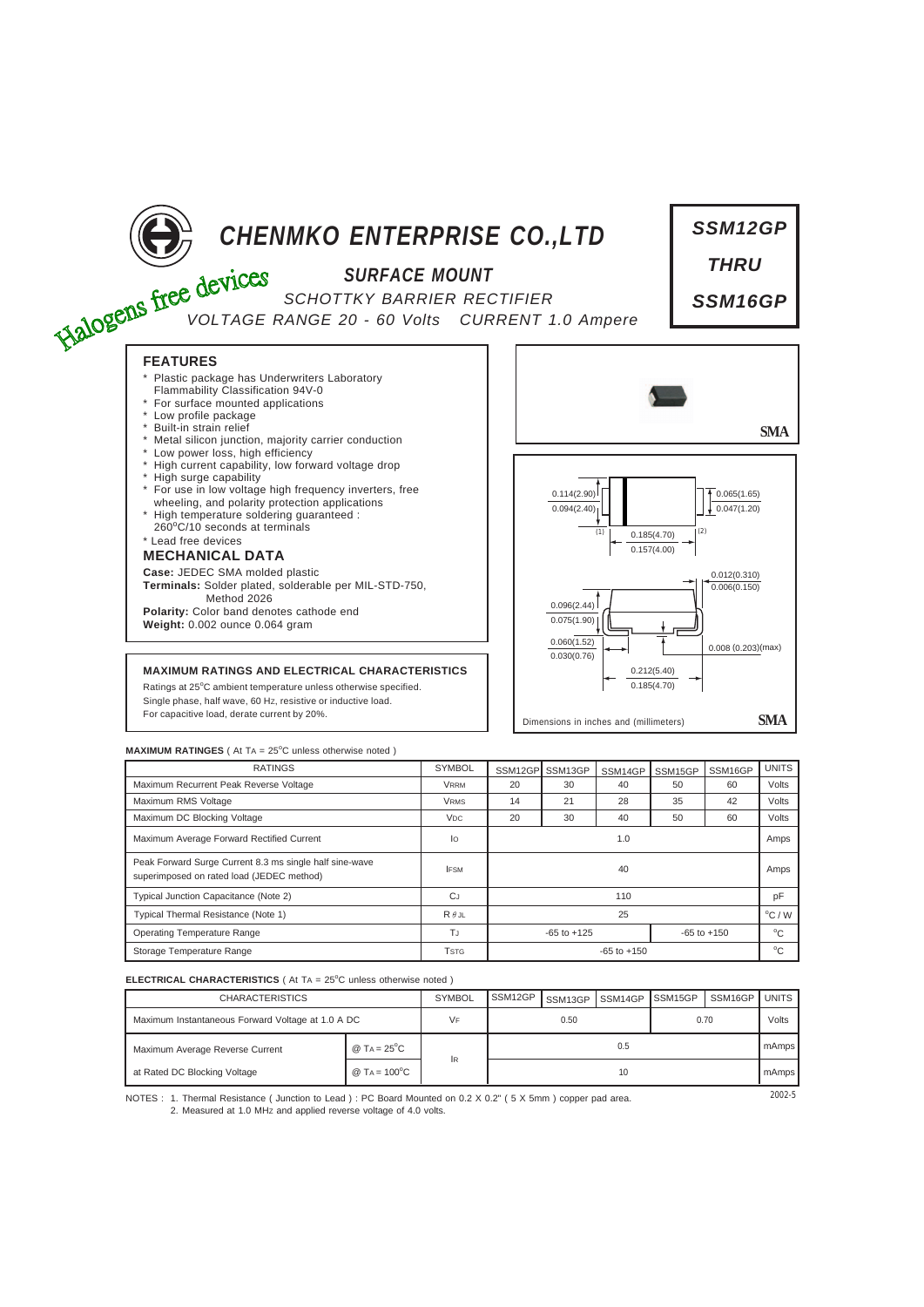

## **MAXIMUM RATINGES** ( At TA = 25°C unless otherwise noted )

| <b>RATINGS</b>                                                                                       | <b>SYMBOL</b>           | SSM <sub>12GP</sub>                | SSM13GP | SSM14GP | SSM15GP     | SSM16GP | <b>UNITS</b>    |
|------------------------------------------------------------------------------------------------------|-------------------------|------------------------------------|---------|---------|-------------|---------|-----------------|
| Maximum Recurrent Peak Reverse Voltage                                                               | <b>VRRM</b>             | 20                                 | 30      | 40      | 50          | 60      | Volts           |
| Maximum RMS Voltage                                                                                  | <b>VRMS</b>             | 14                                 | 21      | 28      | 35          | 42      | Volts           |
| Maximum DC Blocking Voltage                                                                          | V <sub>DC</sub>         | 20                                 | 30      | 40      | 50          | 60      | Volts           |
| Maximum Average Forward Rectified Current                                                            | lo                      | 1.0                                |         |         |             |         | Amps            |
| Peak Forward Surge Current 8.3 ms single half sine-wave<br>superimposed on rated load (JEDEC method) | <b>IFSM</b>             | 40                                 |         |         |             |         | Amps            |
| Typical Junction Capacitance (Note 2)                                                                | <b>C</b> J              | 110                                |         |         |             |         | pF              |
| Typical Thermal Resistance (Note 1)                                                                  | $R \theta$ JL           | 25                                 |         |         |             |         | $\rm ^{o}C$ / W |
| <b>Operating Temperature Range</b>                                                                   | Tu                      | $-65$ to $+125$<br>$-65$ to $+150$ |         |         | $^{\circ}C$ |         |                 |
| Storage Temperature Range                                                                            | <b>T</b> <sub>STG</sub> | $-65$ to $+150$                    |         |         |             |         | $^{\circ}C$     |

## **ELECTRICAL CHARACTERISTICS** ( At TA = 25°C unless otherwise noted )

| <b>CHARACTERISTICS</b>                            |                        | <b>SYMBOL</b> | SSM12GP | SSM13GP | SSM14GP | SSM <sub>15GP</sub> | SSM16GP | <b>UNITS</b> |
|---------------------------------------------------|------------------------|---------------|---------|---------|---------|---------------------|---------|--------------|
| Maximum Instantaneous Forward Voltage at 1.0 A DC |                        | VF            | 0.50    |         |         | 0.70                |         | Volts        |
| Maximum Average Reverse Current                   | @ TA = $25^{\circ}$ C  |               | 0.5     |         |         |                     |         | mAmps l      |
| at Rated DC Blocking Voltage                      | @ TA = $100^{\circ}$ C | 1R            | 10      |         |         |                     |         | mAmps        |

NOTES : 2002-5 1. Thermal Resistance ( Junction to Lead ) : PC Board Mounted on 0.2 X 0.2" ( 5 X 5mm ) copper pad area. 2. Measured at 1.0 MHz and applied reverse voltage of 4.0 volts.